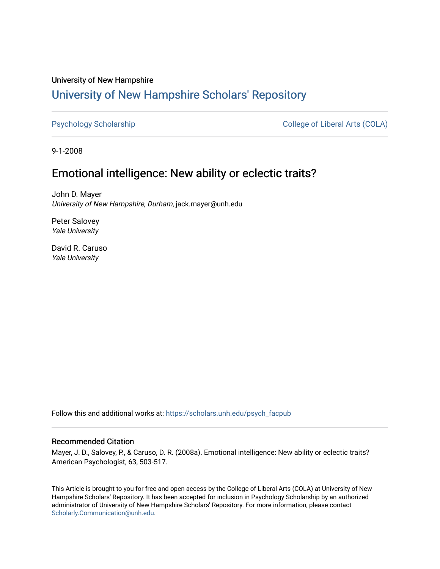# University of New Hampshire [University of New Hampshire Scholars' Repository](https://scholars.unh.edu/)

[Psychology Scholarship](https://scholars.unh.edu/psych_facpub) **College of Liberal Arts (COLA)** 

9-1-2008

# Emotional intelligence: New ability or eclectic traits?

John D. Mayer University of New Hampshire, Durham, jack.mayer@unh.edu

Peter Salovey Yale University

David R. Caruso Yale University

Follow this and additional works at: [https://scholars.unh.edu/psych\\_facpub](https://scholars.unh.edu/psych_facpub?utm_source=scholars.unh.edu%2Fpsych_facpub%2F354&utm_medium=PDF&utm_campaign=PDFCoverPages)

#### Recommended Citation

Mayer, J. D., Salovey, P., & Caruso, D. R. (2008a). Emotional intelligence: New ability or eclectic traits? American Psychologist, 63, 503-517.

This Article is brought to you for free and open access by the College of Liberal Arts (COLA) at University of New Hampshire Scholars' Repository. It has been accepted for inclusion in Psychology Scholarship by an authorized administrator of University of New Hampshire Scholars' Repository. For more information, please contact [Scholarly.Communication@unh.edu](mailto:Scholarly.Communication@unh.edu).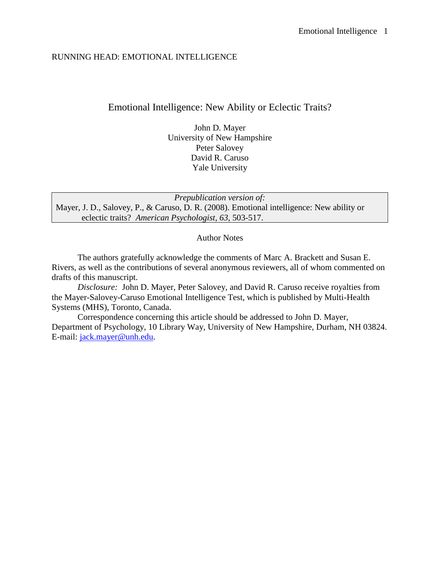#### RUNNING HEAD: EMOTIONAL INTELLIGENCE

# Emotional Intelligence: New Ability or Eclectic Traits?

John D. Mayer University of New Hampshire Peter Salovey David R. Caruso Yale University

*Prepublication version of:* Mayer, J. D., Salovey, P., & Caruso, D. R. (2008). Emotional intelligence: New ability or eclectic traits? *American Psychologist, 63,* 503-517.

#### Author Notes

The authors gratefully acknowledge the comments of Marc A. Brackett and Susan E. Rivers, as well as the contributions of several anonymous reviewers, all of whom commented on drafts of this manuscript.

*Disclosure:* John D. Mayer, Peter Salovey, and David R. Caruso receive royalties from the Mayer-Salovey-Caruso Emotional Intelligence Test, which is published by Multi-Health Systems (MHS), Toronto, Canada.

Correspondence concerning this article should be addressed to John D. Mayer, Department of Psychology, 10 Library Way, University of New Hampshire, Durham, NH 03824. E-mail: [jack.mayer@unh.edu.](mailto:jack.mayer@unh.edu)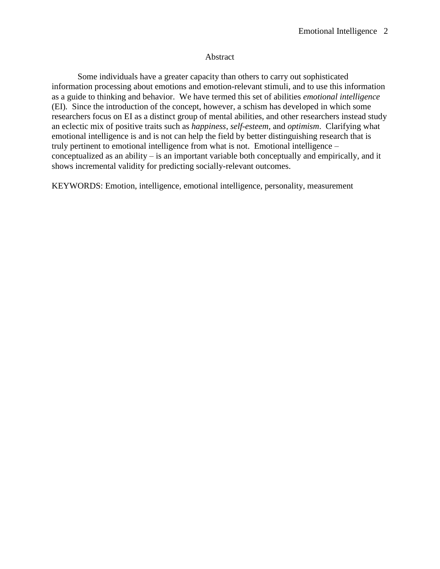#### Abstract

Some individuals have a greater capacity than others to carry out sophisticated information processing about emotions and emotion-relevant stimuli, and to use this information as a guide to thinking and behavior. We have termed this set of abilities *emotional intelligence* (EI)*.* Since the introduction of the concept, however, a schism has developed in which some researchers focus on EI as a distinct group of mental abilities, and other researchers instead study an eclectic mix of positive traits such as *happiness*, *self-esteem*, and *optimism*. Clarifying what emotional intelligence is and is not can help the field by better distinguishing research that is truly pertinent to emotional intelligence from what is not. Emotional intelligence – conceptualized as an ability – is an important variable both conceptually and empirically, and it shows incremental validity for predicting socially-relevant outcomes.

KEYWORDS: Emotion, intelligence, emotional intelligence, personality, measurement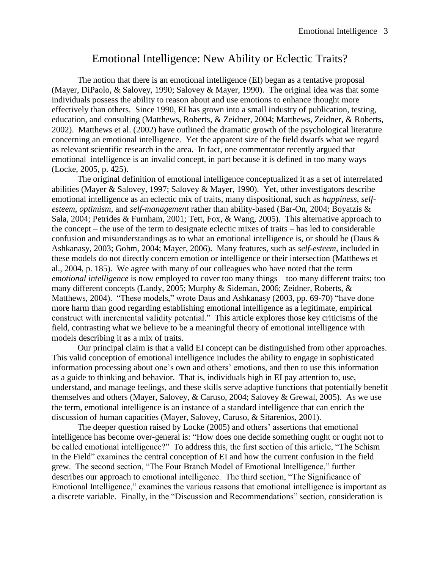# Emotional Intelligence: New Ability or Eclectic Traits?

The notion that there is an emotional intelligence (EI) began as a tentative proposal (Mayer, DiPaolo, & Salovey, 1990; Salovey & Mayer, 1990). The original idea was that some individuals possess the ability to reason about and use emotions to enhance thought more effectively than others. Since 1990, EI has grown into a small industry of publication, testing, education, and consulting (Matthews, Roberts, & Zeidner, 2004; Matthews, Zeidner, & Roberts, 2002). Matthews et al. (2002) have outlined the dramatic growth of the psychological literature concerning an emotional intelligence. Yet the apparent size of the field dwarfs what we regard as relevant scientific research in the area. In fact, one commentator recently argued that emotional intelligence is an invalid concept, in part because it is defined in too many ways (Locke, 2005, p. 425).

The original definition of emotional intelligence conceptualized it as a set of interrelated abilities (Mayer & Salovey, 1997; Salovey & Mayer, 1990). Yet, other investigators describe emotional intelligence as an eclectic mix of traits, many dispositional, such as *happiness*, *selfesteem*, *optimism*, and *self-management* rather than ability-based (Bar-On, 2004; Boyatzis & Sala, 2004; Petrides & Furnham, 2001; Tett, Fox, & Wang, 2005). This alternative approach to the concept – the use of the term to designate eclectic mixes of traits – has led to considerable confusion and misunderstandings as to what an emotional intelligence is, or should be (Daus & Ashkanasy, 2003; Gohm, 2004; Mayer, 2006). Many features, such as *self-esteem*, included in these models do not directly concern emotion or intelligence or their intersection (Matthews et al., 2004, p. 185). We agree with many of our colleagues who have noted that the term *emotional intelligence* is now employed to cover too many things – too many different traits; too many different concepts (Landy, 2005; Murphy & Sideman, 2006; Zeidner, Roberts, & Matthews, 2004). "These models," wrote Daus and Ashkanasy (2003, pp. 69-70) "have done more harm than good regarding establishing emotional intelligence as a legitimate, empirical construct with incremental validity potential." This article explores those key criticisms of the field, contrasting what we believe to be a meaningful theory of emotional intelligence with models describing it as a mix of traits.

Our principal claim is that a valid EI concept can be distinguished from other approaches. This valid conception of emotional intelligence includes the ability to engage in sophisticated information processing about one's own and others' emotions, and then to use this information as a guide to thinking and behavior. That is, individuals high in EI pay attention to, use, understand, and manage feelings, and these skills serve adaptive functions that potentially benefit themselves and others (Mayer, Salovey, & Caruso, 2004; Salovey & Grewal, 2005). As we use the term, emotional intelligence is an instance of a standard intelligence that can enrich the discussion of human capacities (Mayer, Salovey, Caruso, & Sitarenios, 2001).

The deeper question raised by Locke (2005) and others' assertions that emotional intelligence has become over-general is: "How does one decide something ought or ought not to be called emotional intelligence?" To address this, the first section of this article, "The Schism in the Field" examines the central conception of EI and how the current confusion in the field grew. The second section, "The Four Branch Model of Emotional Intelligence," further describes our approach to emotional intelligence. The third section, "The Significance of Emotional Intelligence," examines the various reasons that emotional intelligence is important as a discrete variable. Finally, in the "Discussion and Recommendations" section, consideration is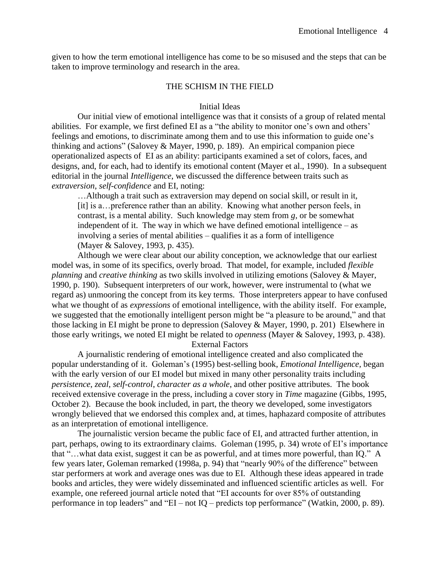given to how the term emotional intelligence has come to be so misused and the steps that can be taken to improve terminology and research in the area.

#### THE SCHISM IN THE FIELD

#### Initial Ideas

Our initial view of emotional intelligence was that it consists of a group of related mental abilities. For example, we first defined EI as a "the ability to monitor one's own and others' feelings and emotions, to discriminate among them and to use this information to guide one's thinking and actions" (Salovey & Mayer, 1990, p. 189). An empirical companion piece operationalized aspects of EI as an ability: participants examined a set of colors, faces, and designs, and, for each, had to identify its emotional content (Mayer et al., 1990). In a subsequent editorial in the journal *Intelligence*, we discussed the difference between traits such as *extraversion*, *self-confidence* and EI, noting:

…Although a trait such as extraversion may depend on social skill, or result in it, [it] is a…preference rather than an ability. Knowing what another person feels, in contrast, is a mental ability. Such knowledge may stem from *g,* or be somewhat independent of it. The way in which we have defined emotional intelligence – as involving a series of mental abilities – qualifies it as a form of intelligence (Mayer & Salovey, 1993, p. 435).

Although we were clear about our ability conception, we acknowledge that our earliest model was, in some of its specifics, overly broad. That model, for example, included *flexible planning* and *creative thinking* as two skills involved in utilizing emotions (Salovey & Mayer, 1990, p. 190). Subsequent interpreters of our work, however, were instrumental to (what we regard as) unmooring the concept from its key terms. Those interpreters appear to have confused what we thought of as *expressions* of emotional intelligence, with the ability itself. For example, we suggested that the emotionally intelligent person might be "a pleasure to be around," and that those lacking in EI might be prone to depression (Salovey & Mayer, 1990, p. 201) Elsewhere in those early writings, we noted EI might be related to *openness* (Mayer & Salovey, 1993, p. 438).

External Factors

A journalistic rendering of emotional intelligence created and also complicated the popular understanding of it. Goleman's (1995) best-selling book, *Emotional Intelligence,* began with the early version of our EI model but mixed in many other personality traits including *persistence*, *zeal*, *self-control*, *character as a whole*, and other positive attributes. The book received extensive coverage in the press, including a cover story in *Time* magazine (Gibbs, 1995, October 2). Because the book included, in part, the theory we developed, some investigators wrongly believed that we endorsed this complex and, at times, haphazard composite of attributes as an interpretation of emotional intelligence.

The journalistic version became the public face of EI, and attracted further attention, in part, perhaps, owing to its extraordinary claims. Goleman (1995, p. 34) wrote of EI's importance that "…what data exist, suggest it can be as powerful, and at times more powerful, than IQ." A few years later, Goleman remarked (1998a, p. 94) that "nearly 90% of the difference" between star performers at work and average ones was due to EI. Although these ideas appeared in trade books and articles, they were widely disseminated and influenced scientific articles as well. For example, one refereed journal article noted that "EI accounts for over 85% of outstanding performance in top leaders" and "EI – not IQ – predicts top performance" (Watkin, 2000, p. 89).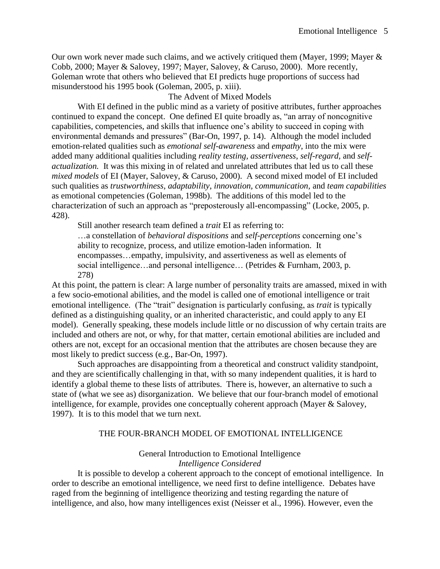Our own work never made such claims, and we actively critiqued them (Mayer, 1999; Mayer & Cobb, 2000; Mayer & Salovey, 1997; Mayer, Salovey, & Caruso, 2000). More recently, Goleman wrote that others who believed that EI predicts huge proportions of success had misunderstood his 1995 book (Goleman, 2005, p. xiii).

# The Advent of Mixed Models

With EI defined in the public mind as a variety of positive attributes, further approaches continued to expand the concept. One defined EI quite broadly as, "an array of noncognitive capabilities, competencies, and skills that influence one's ability to succeed in coping with environmental demands and pressures" (Bar-On, 1997, p. 14). Although the model included emotion-related qualities such as *emotional self-awareness* and *empathy*, into the mix were added many additional qualities including *reality testing, assertiveness*, *self-regard,* and *selfactualization.* It was this mixing in of related and unrelated attributes that led us to call these *mixed models* of EI (Mayer, Salovey, & Caruso, 2000). A second mixed model of EI included such qualities as *trustworthiness*, *adaptability*, *innovation, communication,* and *team capabilities* as emotional competencies (Goleman, 1998b). The additions of this model led to the characterization of such an approach as "preposterously all-encompassing" (Locke, 2005, p. 428).

Still another research team defined a *trait* EI as referring to:

…a constellation of *behavioral dispositions* and *self-perceptions* concerning one's ability to recognize, process, and utilize emotion-laden information. It encompasses…empathy, impulsivity, and assertiveness as well as elements of social intelligence...and personal intelligence... (Petrides & Furnham, 2003, p. 278)

At this point, the pattern is clear: A large number of personality traits are amassed, mixed in with a few socio-emotional abilities, and the model is called one of emotional intelligence or trait emotional intelligence. (The "trait" designation is particularly confusing, as *trait* is typically defined as a distinguishing quality, or an inherited characteristic, and could apply to any EI model). Generally speaking, these models include little or no discussion of why certain traits are included and others are not, or why, for that matter, certain emotional abilities are included and others are not, except for an occasional mention that the attributes are chosen because they are most likely to predict success (e.g., Bar-On, 1997).

Such approaches are disappointing from a theoretical and construct validity standpoint, and they are scientifically challenging in that, with so many independent qualities, it is hard to identify a global theme to these lists of attributes. There is, however, an alternative to such a state of (what we see as) disorganization. We believe that our four-branch model of emotional intelligence, for example, provides one conceptually coherent approach (Mayer & Salovey, 1997). It is to this model that we turn next.

# THE FOUR-BRANCH MODEL OF EMOTIONAL INTELLIGENCE

# General Introduction to Emotional Intelligence *Intelligence Considered*

It is possible to develop a coherent approach to the concept of emotional intelligence. In order to describe an emotional intelligence, we need first to define intelligence. Debates have raged from the beginning of intelligence theorizing and testing regarding the nature of intelligence, and also, how many intelligences exist (Neisser et al., 1996). However, even the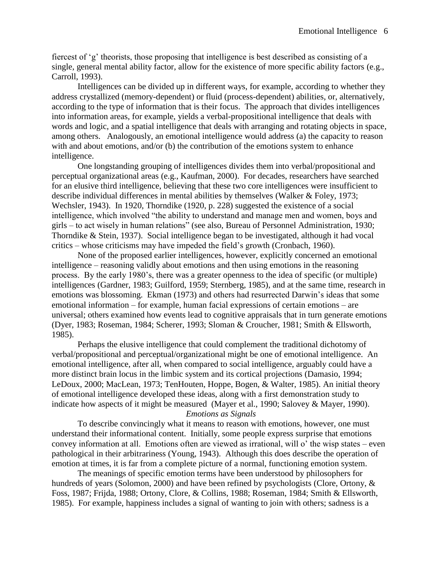fiercest of 'g' theorists, those proposing that intelligence is best described as consisting of a single, general mental ability factor, allow for the existence of more specific ability factors (e.g., Carroll, 1993).

Intelligences can be divided up in different ways, for example, according to whether they address crystallized (memory-dependent) or fluid (process-dependent) abilities, or, alternatively, according to the type of information that is their focus. The approach that divides intelligences into information areas, for example, yields a verbal-propositional intelligence that deals with words and logic, and a spatial intelligence that deals with arranging and rotating objects in space, among others. Analogously, an emotional intelligence would address (a) the capacity to reason with and about emotions, and/or (b) the contribution of the emotions system to enhance intelligence.

One longstanding grouping of intelligences divides them into verbal/propositional and perceptual organizational areas (e.g., Kaufman, 2000). For decades, researchers have searched for an elusive third intelligence, believing that these two core intelligences were insufficient to describe individual differences in mental abilities by themselves (Walker & Foley, 1973; Wechsler, 1943). In 1920, Thorndike (1920, p. 228) suggested the existence of a social intelligence, which involved "the ability to understand and manage men and women, boys and girls – to act wisely in human relations" (see also, Bureau of Personnel Administration, 1930; Thorndike & Stein, 1937). Social intelligence began to be investigated, although it had vocal critics – whose criticisms may have impeded the field's growth (Cronbach, 1960).

None of the proposed earlier intelligences, however, explicitly concerned an emotional intelligence – reasoning validly about emotions and then using emotions in the reasoning process. By the early 1980's, there was a greater openness to the idea of specific (or multiple) intelligences (Gardner, 1983; Guilford, 1959; Sternberg, 1985), and at the same time, research in emotions was blossoming. Ekman (1973) and others had resurrected Darwin's ideas that some emotional information – for example, human facial expressions of certain emotions – are universal; others examined how events lead to cognitive appraisals that in turn generate emotions (Dyer, 1983; Roseman, 1984; Scherer, 1993; Sloman & Croucher, 1981; Smith & Ellsworth, 1985).

Perhaps the elusive intelligence that could complement the traditional dichotomy of verbal/propositional and perceptual/organizational might be one of emotional intelligence. An emotional intelligence, after all, when compared to social intelligence, arguably could have a more distinct brain locus in the limbic system and its cortical projections (Damasio, 1994; LeDoux, 2000; MacLean, 1973; TenHouten, Hoppe, Bogen, & Walter, 1985). An initial theory of emotional intelligence developed these ideas, along with a first demonstration study to indicate how aspects of it might be measured (Mayer et al., 1990; Salovey & Mayer, 1990).

*Emotions as Signals*

To describe convincingly what it means to reason with emotions, however, one must understand their informational content. Initially, some people express surprise that emotions convey information at all. Emotions often are viewed as irrational, will o' the wisp states – even pathological in their arbitrariness (Young, 1943). Although this does describe the operation of emotion at times, it is far from a complete picture of a normal, functioning emotion system.

The meanings of specific emotion terms have been understood by philosophers for hundreds of years (Solomon, 2000) and have been refined by psychologists (Clore, Ortony, & Foss, 1987; Frijda, 1988; Ortony, Clore, & Collins, 1988; Roseman, 1984; Smith & Ellsworth, 1985). For example, happiness includes a signal of wanting to join with others; sadness is a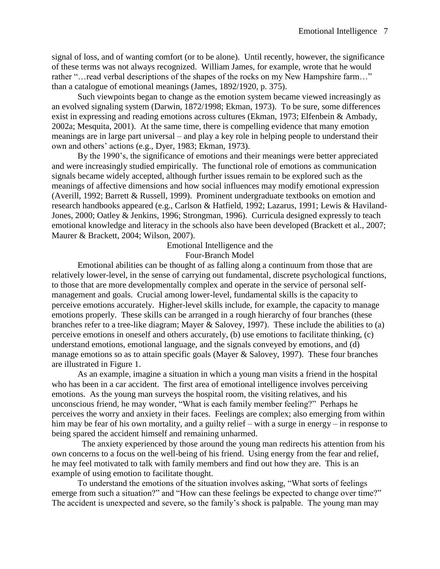signal of loss, and of wanting comfort (or to be alone). Until recently, however, the significance of these terms was not always recognized. William James, for example, wrote that he would rather "…read verbal descriptions of the shapes of the rocks on my New Hampshire farm…" than a catalogue of emotional meanings (James, 1892/1920, p. 375).

Such viewpoints began to change as the emotion system became viewed increasingly as an evolved signaling system (Darwin, 1872/1998; Ekman, 1973). To be sure, some differences exist in expressing and reading emotions across cultures (Ekman, 1973; Elfenbein & Ambady, 2002a; Mesquita, 2001). At the same time, there is compelling evidence that many emotion meanings are in large part universal – and play a key role in helping people to understand their own and others' actions (e.g., Dyer, 1983; Ekman, 1973).

By the 1990's, the significance of emotions and their meanings were better appreciated and were increasingly studied empirically. The functional role of emotions as communication signals became widely accepted, although further issues remain to be explored such as the meanings of affective dimensions and how social influences may modify emotional expression (Averill, 1992; Barrett & Russell, 1999). Prominent undergraduate textbooks on emotion and research handbooks appeared (e.g., Carlson & Hatfield, 1992; Lazarus, 1991; Lewis & Haviland-Jones, 2000; Oatley & Jenkins, 1996; Strongman, 1996). Curricula designed expressly to teach emotional knowledge and literacy in the schools also have been developed (Brackett et al., 2007; Maurer & Brackett, 2004; Wilson, 2007).

#### Emotional Intelligence and the Four-Branch Model

Emotional abilities can be thought of as falling along a continuum from those that are relatively lower-level, in the sense of carrying out fundamental, discrete psychological functions, to those that are more developmentally complex and operate in the service of personal selfmanagement and goals. Crucial among lower-level, fundamental skills is the capacity to perceive emotions accurately. Higher-level skills include, for example, the capacity to manage emotions properly. These skills can be arranged in a rough hierarchy of four branches (these branches refer to a tree-like diagram; Mayer & Salovey, 1997). These include the abilities to (a) perceive emotions in oneself and others accurately, (b) use emotions to facilitate thinking, (c) understand emotions, emotional language, and the signals conveyed by emotions, and (d) manage emotions so as to attain specific goals (Mayer & Salovey, 1997). These four branches are illustrated in Figure 1.

As an example, imagine a situation in which a young man visits a friend in the hospital who has been in a car accident. The first area of emotional intelligence involves perceiving emotions. As the young man surveys the hospital room, the visiting relatives, and his unconscious friend, he may wonder, "What is each family member feeling?" Perhaps he perceives the worry and anxiety in their faces. Feelings are complex; also emerging from within him may be fear of his own mortality, and a guilty relief – with a surge in energy – in response to being spared the accident himself and remaining unharmed.

 The anxiety experienced by those around the young man redirects his attention from his own concerns to a focus on the well-being of his friend. Using energy from the fear and relief, he may feel motivated to talk with family members and find out how they are. This is an example of using emotion to facilitate thought.

To understand the emotions of the situation involves asking, "What sorts of feelings emerge from such a situation?" and "How can these feelings be expected to change over time?" The accident is unexpected and severe, so the family's shock is palpable. The young man may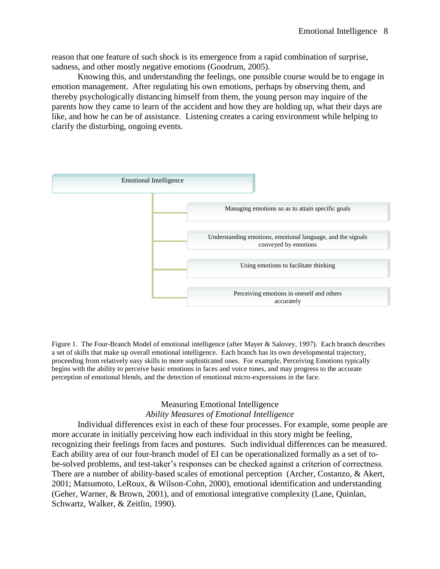reason that one feature of such shock is its emergence from a rapid combination of surprise, sadness, and other mostly negative emotions (Goodrum, 2005).

Knowing this, and understanding the feelings, one possible course would be to engage in emotion management. After regulating his own emotions, perhaps by observing them, and thereby psychologically distancing himself from them, the young person may inquire of the parents how they came to learn of the accident and how they are holding up, what their days are like, and how he can be of assistance. Listening creates a caring environment while helping to clarify the disturbing, ongoing events.



Figure 1. The Four-Branch Model of emotional intelligence (after Mayer & Salovey, 1997). Each branch describes a set of skills that make up overall emotional intelligence. Each branch has its own developmental trajectory, proceeding from relatively easy skills to more sophisticated ones. For example, Perceiving Emotions typically begins with the ability to perceive basic emotions in faces and voice tones, and may progress to the accurate perception of emotional blends, and the detection of emotional micro-expressions in the face.

# Measuring Emotional Intelligence *Ability Measures of Emotional Intelligence*

Individual differences exist in each of these four processes. For example, some people are more accurate in initially perceiving how each individual in this story might be feeling, recognizing their feelings from faces and postures. Such individual differences can be measured. Each ability area of our four-branch model of EI can be operationalized formally as a set of tobe-solved problems, and test-taker's responses can be checked against a criterion of correctness. There are a number of ability-based scales of emotional perception (Archer, Costanzo, & Akert, 2001; Matsumoto, LeRoux, & Wilson-Cohn, 2000), emotional identification and understanding (Geher, Warner, & Brown, 2001), and of emotional integrative complexity (Lane, Quinlan, Schwartz, Walker, & Zeitlin, 1990).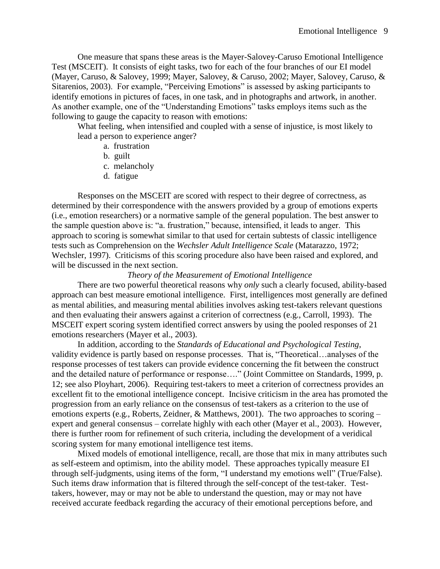One measure that spans these areas is the Mayer-Salovey-Caruso Emotional Intelligence Test (MSCEIT). It consists of eight tasks, two for each of the four branches of our EI model (Mayer, Caruso, & Salovey, 1999; Mayer, Salovey, & Caruso, 2002; Mayer, Salovey, Caruso, & Sitarenios, 2003). For example, "Perceiving Emotions" is assessed by asking participants to identify emotions in pictures of faces, in one task, and in photographs and artwork, in another. As another example, one of the "Understanding Emotions" tasks employs items such as the following to gauge the capacity to reason with emotions:

What feeling, when intensified and coupled with a sense of injustice, is most likely to lead a person to experience anger?

- a. frustration
- b. guilt
- c. melancholy
- d. fatigue

Responses on the MSCEIT are scored with respect to their degree of correctness, as determined by their correspondence with the answers provided by a group of emotions experts (i.e., emotion researchers) or a normative sample of the general population. The best answer to the sample question above is: "a. frustration," because, intensified, it leads to anger. This approach to scoring is somewhat similar to that used for certain subtests of classic intelligence tests such as Comprehension on the *Wechsler Adult Intelligence Scale* (Matarazzo, 1972; Wechsler, 1997). Criticisms of this scoring procedure also have been raised and explored, and will be discussed in the next section.

#### *Theory of the Measurement of Emotional Intelligence*

There are two powerful theoretical reasons why *only* such a clearly focused, ability-based approach can best measure emotional intelligence. First, intelligences most generally are defined as mental abilities, and measuring mental abilities involves asking test-takers relevant questions and then evaluating their answers against a criterion of correctness (e.g., Carroll, 1993). The MSCEIT expert scoring system identified correct answers by using the pooled responses of 21 emotions researchers (Mayer et al., 2003).

In addition, according to the *Standards of Educational and Psychological Testing*, validity evidence is partly based on response processes. That is, "Theoretical…analyses of the response processes of test takers can provide evidence concerning the fit between the construct and the detailed nature of performance or response…." (Joint Committee on Standards, 1999, p. 12; see also Ployhart, 2006). Requiring test-takers to meet a criterion of correctness provides an excellent fit to the emotional intelligence concept. Incisive criticism in the area has promoted the progression from an early reliance on the consensus of test-takers as a criterion to the use of emotions experts (e.g., Roberts, Zeidner, & Matthews, 2001). The two approaches to scoring – expert and general consensus – correlate highly with each other (Mayer et al., 2003). However, there is further room for refinement of such criteria, including the development of a veridical scoring system for many emotional intelligence test items.

Mixed models of emotional intelligence, recall, are those that mix in many attributes such as self-esteem and optimism, into the ability model. These approaches typically measure EI through self-judgments, using items of the form, "I understand my emotions well" (True/False). Such items draw information that is filtered through the self-concept of the test-taker. Testtakers, however, may or may not be able to understand the question, may or may not have received accurate feedback regarding the accuracy of their emotional perceptions before, and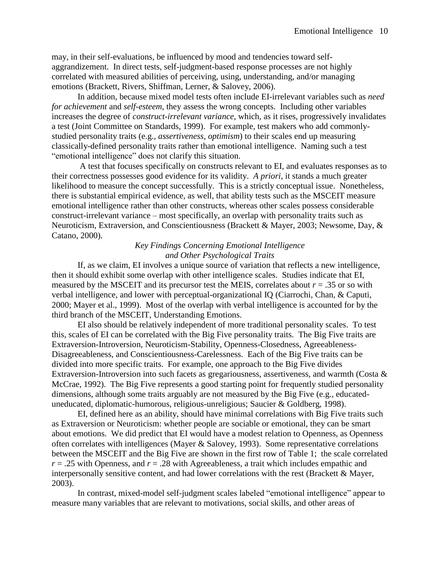may, in their self-evaluations, be influenced by mood and tendencies toward selfaggrandizement. In direct tests, self-judgment-based response processes are not highly correlated with measured abilities of perceiving, using, understanding, and/or managing emotions (Brackett, Rivers, Shiffman, Lerner, & Salovey, 2006).

In addition, because mixed model tests often include EI-irrelevant variables such as *need for achievement* and *self-esteem,* they assess the wrong concepts. Including other variables increases the degree of *construct-irrelevant variance,* which, as it rises, progressively invalidates a test (Joint Committee on Standards, 1999). For example, test makers who add commonlystudied personality traits (e.g., *assertiveness, optimism*) to their scales end up measuring classically-defined personality traits rather than emotional intelligence. Naming such a test "emotional intelligence" does not clarify this situation.

A test that focuses specifically on constructs relevant to EI, and evaluates responses as to their correctness possesses good evidence for its validity. *A priori*, it stands a much greater likelihood to measure the concept successfully. This is a strictly conceptual issue. Nonetheless, there is substantial empirical evidence, as well, that ability tests such as the MSCEIT measure emotional intelligence rather than other constructs, whereas other scales possess considerable construct-irrelevant variance – most specifically, an overlap with personality traits such as Neuroticism, Extraversion, and Conscientiousness (Brackett & Mayer, 2003; Newsome, Day, & Catano, 2000).

# *Key Findings Concerning Emotional Intelligence and Other Psychological Traits*

If, as we claim, EI involves a unique source of variation that reflects a new intelligence, then it should exhibit some overlap with other intelligence scales. Studies indicate that EI, measured by the MSCEIT and its precursor test the MEIS, correlates about  $r = .35$  or so with verbal intelligence, and lower with perceptual-organizational IQ (Ciarrochi, Chan, & Caputi, 2000; Mayer et al., 1999). Most of the overlap with verbal intelligence is accounted for by the third branch of the MSCEIT, Understanding Emotions.

EI also should be relatively independent of more traditional personality scales. To test this, scales of EI can be correlated with the Big Five personality traits. The Big Five traits are Extraversion-Introversion, Neuroticism-Stability, Openness-Closedness, Agreeableness-Disagreeableness, and Conscientiousness-Carelessness. Each of the Big Five traits can be divided into more specific traits. For example, one approach to the Big Five divides Extraversion-Introversion into such facets as gregariousness, assertiveness, and warmth (Costa  $\&$ McCrae, 1992). The Big Five represents a good starting point for frequently studied personality dimensions, although some traits arguably are not measured by the Big Five (e.g., educateduneducated, diplomatic-humorous, religious-unreligious; Saucier & Goldberg, 1998).

EI, defined here as an ability, should have minimal correlations with Big Five traits such as Extraversion or Neuroticism: whether people are sociable or emotional, they can be smart about emotions. We did predict that EI would have a modest relation to Openness, as Openness often correlates with intelligences (Mayer & Salovey, 1993). Some representative correlations between the MSCEIT and the Big Five are shown in the first row of Table 1; the scale correlated *r* = .25 with Openness, and *r* = .28 with Agreeableness, a trait which includes empathic and interpersonally sensitive content, and had lower correlations with the rest (Brackett  $\&$  Mayer, 2003).

In contrast, mixed-model self-judgment scales labeled "emotional intelligence" appear to measure many variables that are relevant to motivations, social skills, and other areas of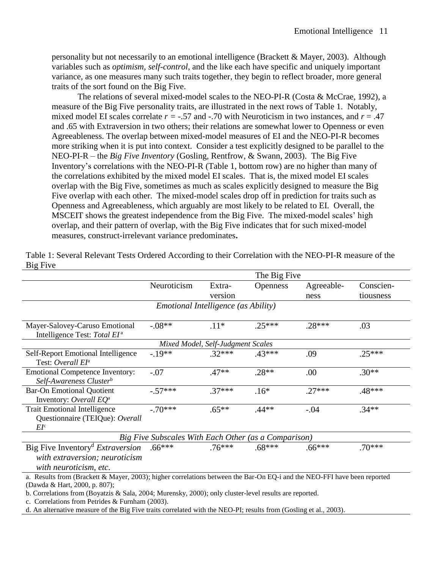personality but not necessarily to an emotional intelligence (Brackett & Mayer, 2003). Although variables such as *optimism*, *self-control*, and the like each have specific and uniquely important variance, as one measures many such traits together, they begin to reflect broader, more general traits of the sort found on the Big Five.

The relations of several mixed-model scales to the NEO-PI-R (Costa & McCrae, 1992), a measure of the Big Five personality traits, are illustrated in the next rows of Table 1. Notably, mixed model EI scales correlate  $r = -0.57$  and  $-0.70$  with Neuroticism in two instances, and  $r = 0.47$ and .65 with Extraversion in two others; their relations are somewhat lower to Openness or even Agreeableness. The overlap between mixed-model measures of EI and the NEO-PI-R becomes more striking when it is put into context. Consider a test explicitly designed to be parallel to the NEO-PI-R – the *Big Five Inventory* (Gosling, Rentfrow, & Swann, 2003). The Big Five Inventory's correlations with the NEO-PI-R (Table 1, bottom row) are no higher than many of the correlations exhibited by the mixed model EI scales. That is, the mixed model EI scales overlap with the Big Five, sometimes as much as scales explicitly designed to measure the Big Five overlap with each other. The mixed-model scales drop off in prediction for traits such as Openness and Agreeableness, which arguably are most likely to be related to EI. Overall, the MSCEIT shows the greatest independence from the Big Five. The mixed-model scales' high overlap, and their pattern of overlap, with the Big Five indicates that for such mixed-model measures, construct-irrelevant variance predominates**.** 

|                                                                                                                                                                                                                                                                                                                            | The Big Five                                         |                                   |                 |                    |                        |
|----------------------------------------------------------------------------------------------------------------------------------------------------------------------------------------------------------------------------------------------------------------------------------------------------------------------------|------------------------------------------------------|-----------------------------------|-----------------|--------------------|------------------------|
|                                                                                                                                                                                                                                                                                                                            | Neuroticism                                          | Extra-<br>version                 | <b>Openness</b> | Agreeable-<br>ness | Conscien-<br>tiousness |
|                                                                                                                                                                                                                                                                                                                            | <i>Emotional Intelligence (as Ability)</i>           |                                   |                 |                    |                        |
| Mayer-Salovey-Caruso Emotional<br>Intelligence Test: Total EI <sup>a</sup>                                                                                                                                                                                                                                                 | $-.08**$                                             | $.11*$                            | $.25***$        | $.28***$           | .03                    |
|                                                                                                                                                                                                                                                                                                                            |                                                      | Mixed Model, Self-Judgment Scales |                 |                    |                        |
| Self-Report Emotional Intelligence<br>Test: Overall EI <sup>a</sup>                                                                                                                                                                                                                                                        | $-.19**$                                             | $.32***$                          | .43***          | .09                | $.25***$               |
| <b>Emotional Competence Inventory:</b><br>Self-Awareness Clusterb                                                                                                                                                                                                                                                          | $-.07$                                               | $.47**$                           | $.28**$         | .00                | $.30**$                |
| <b>Bar-On Emotional Quotient</b><br>Inventory: Overall EQ <sup>a</sup>                                                                                                                                                                                                                                                     | $-.57***$                                            | $.37***$                          | $.16*$          | $.27***$           | .48***                 |
| <b>Trait Emotional Intelligence</b><br>Questionnaire (TEIQue): Overall<br>EI <sup>c</sup>                                                                                                                                                                                                                                  | $-.70***$                                            | $.65**$                           | $.44**$         | $-.04$             | $.34**$                |
|                                                                                                                                                                                                                                                                                                                            | Big Five Subscales With Each Other (as a Comparison) |                                   |                 |                    |                        |
| Big Five Inventory <sup>d</sup> Extraversion<br>with extraversion; neuroticism<br>with neuroticism, etc.                                                                                                                                                                                                                   | $.66***$                                             | $.76***$                          | $.68***$        | $.66***$           | $.70***$               |
| a. Results from (Brackett & Mayer, 2003); higher correlations between the Bar-On EQ-i and the NEO-FFI have been reported<br>(Dawda & Hart, 2000, p. 807);<br>b. Correlations from (Boyatzis & Sala, 2004; Murensky, 2000); only cluster-level results are reported.<br>$Csym1min$ $fmax fmin$ $fmin fmin fmin fmin$ (2002) |                                                      |                                   |                 |                    |                        |

Table 1: Several Relevant Tests Ordered According to their Correlation with the NEO-PI-R measure of the Big Five

c. Correlations from Petrides & Furnham (2003).

d. An alternative measure of the Big Five traits correlated with the NEO-PI; results from (Gosling et al., 2003).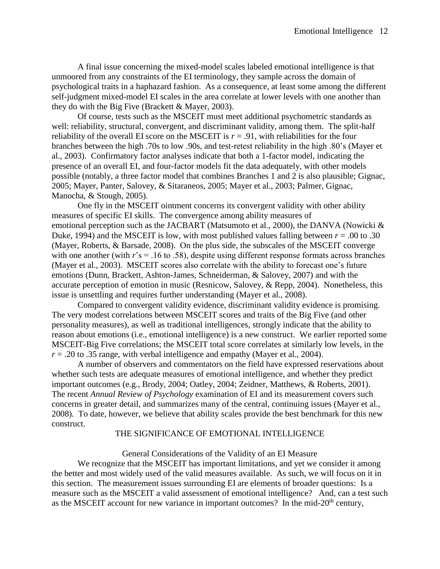A final issue concerning the mixed-model scales labeled emotional intelligence is that unmoored from any constraints of the EI terminology, they sample across the domain of psychological traits in a haphazard fashion. As a consequence, at least some among the different self-judgment mixed-model EI scales in the area correlate at lower levels with one another than they do with the Big Five (Brackett & Mayer, 2003).

Of course, tests such as the MSCEIT must meet additional psychometric standards as well: reliability, structural, convergent, and discriminant validity, among them. The split-half reliability of the overall EI score on the MSCEIT is  $r = .91$ , with reliabilities for the four branches between the high .70s to low .90s, and test-retest reliability in the high .80's (Mayer et al., 2003). Confirmatory factor analyses indicate that both a 1-factor model, indicating the presence of an overall EI, and four-factor models fit the data adequately, with other models possible (notably, a three factor model that combines Branches 1 and 2 is also plausible; Gignac, 2005; Mayer, Panter, Salovey, & Sitaraneos, 2005; Mayer et al., 2003; Palmer, Gignac, Manocha, & Stough, 2005).

One fly in the MSCEIT ointment concerns its convergent validity with other ability measures of specific EI skills. The convergence among ability measures of emotional perception such as the JACBART (Matsumoto et al., 2000), the DANVA (Nowicki & Duke, 1994) and the MSCEIT is low, with most published values falling between  $r = .00$  to .30 (Mayer, Roberts, & Barsade, 2008). On the plus side, the subscales of the MSCEIT converge with one another (with  $r$ 's = .16 to .58), despite using different response formats across branches (Mayer et al., 2003). MSCEIT scores also correlate with the ability to forecast one's future emotions (Dunn, Brackett, Ashton-James, Schneiderman, & Salovey, 2007) and with the accurate perception of emotion in music (Resnicow, Salovey, & Repp, 2004). Nonetheless, this issue is unsettling and requires further understanding (Mayer et al., 2008).

Compared to convergent validity evidence, discriminant validity evidence is promising. The very modest correlations between MSCEIT scores and traits of the Big Five (and other personality measures), as well as traditional intelligences, strongly indicate that the ability to reason about emotions (i.e., emotional intelligence) is a new construct. We earlier reported some MSCEIT-Big Five correlations; the MSCEIT total score correlates at similarly low levels, in the  $r = .20$  to  $.35$  range, with verbal intelligence and empathy (Mayer et al., 2004).

A number of observers and commentators on the field have expressed reservations about whether such tests are adequate measures of emotional intelligence, and whether they predict important outcomes (e.g., Brody, 2004; Oatley, 2004; Zeidner, Matthews, & Roberts, 2001). The recent *Annual Review of Psychology* examination of EI and its measurement covers such concerns in greater detail, and summarizes many of the central, continuing issues (Mayer et al., 2008). To date, however, we believe that ability scales provide the best benchmark for this new construct.

#### THE SIGNIFICANCE OF EMOTIONAL INTELLIGENCE

#### General Considerations of the Validity of an EI Measure

We recognize that the MSCEIT has important limitations, and yet we consider it among the better and most widely used of the valid measures available. As such, we will focus on it in this section. The measurement issues surrounding EI are elements of broader questions: Is a measure such as the MSCEIT a valid assessment of emotional intelligence? And, can a test such as the MSCEIT account for new variance in important outcomes? In the mid- $20<sup>th</sup>$  century,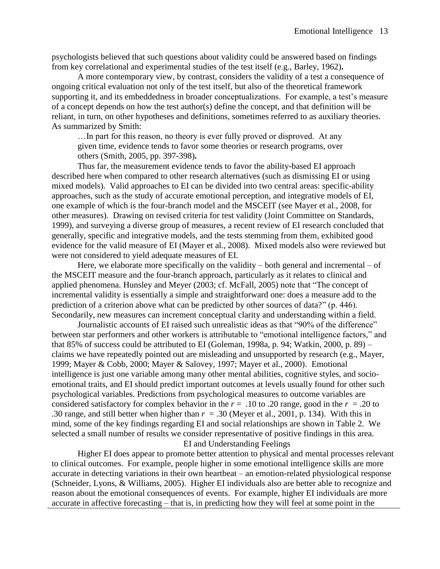psychologists believed that such questions about validity could be answered based on findings from key correlational and experimental studies of the test itself (e.g., Barley, 1962)**.** 

A more contemporary view, by contrast, considers the validity of a test a consequence of ongoing critical evaluation not only of the test itself, but also of the theoretical framework supporting it, and its embeddedness in broader conceptualizations. For example, a test's measure of a concept depends on how the test author(s) define the concept, and that definition will be reliant, in turn, on other hypotheses and definitions, sometimes referred to as auxiliary theories. As summarized by Smith:

…In part for this reason, no theory is ever fully proved or disproved. At any given time, evidence tends to favor some theories or research programs, over others (Smith, 2005, pp. 397-398)**.**

Thus far, the measurement evidence tends to favor the ability-based EI approach described here when compared to other research alternatives (such as dismissing EI or using mixed models). Valid approaches to EI can be divided into two central areas: specific-ability approaches, such as the study of accurate emotional perception, and integrative models of EI, one example of which is the four-branch model and the MSCEIT (see Mayer et al., 2008, for other measures). Drawing on revised criteria for test validity (Joint Committee on Standards, 1999), and surveying a diverse group of measures, a recent review of EI research concluded that generally, specific and integrative models, and the tests stemming from them, exhibited good evidence for the valid measure of EI (Mayer et al., 2008). Mixed models also were reviewed but were not considered to yield adequate measures of EI.

Here, we elaborate more specifically on the validity  $-$  both general and incremental  $-$  of the MSCEIT measure and the four-branch approach, particularly as it relates to clinical and applied phenomena. Hunsley and Meyer (2003; cf. McFall, 2005) note that "The concept of incremental validity is essentially a simple and straightforward one: does a measure add to the prediction of a criterion above what can be predicted by other sources of data?" (p. 446). Secondarily, new measures can increment conceptual clarity and understanding within a field.

Journalistic accounts of EI raised such unrealistic ideas as that "90% of the difference" between star performers and other workers is attributable to "emotional intelligence factors," and that 85% of success could be attributed to EI (Goleman, 1998a, p. 94; Watkin, 2000, p. 89) – claims we have repeatedly pointed out are misleading and unsupported by research (e.g., Mayer, 1999; Mayer & Cobb, 2000; Mayer & Salovey, 1997; Mayer et al., 2000). Emotional intelligence is just one variable among many other mental abilities, cognitive styles, and socioemotional traits, and EI should predict important outcomes at levels usually found for other such psychological variables. Predictions from psychological measures to outcome variables are considered satisfactory for complex behavior in the  $r = .10$  to .20 range, good in the  $r = .20$  to .30 range, and still better when higher than  $r = .30$  (Meyer et al., 2001, p. 134). With this in mind, some of the key findings regarding EI and social relationships are shown in Table 2. We selected a small number of results we consider representative of positive findings in this area. EI and Understanding Feelings

Higher EI does appear to promote better attention to physical and mental processes relevant to clinical outcomes. For example, people higher in some emotional intelligence skills are more accurate in detecting variations in their own heartbeat – an emotion-related physiological response (Schneider, Lyons, & Williams, 2005). Higher EI individuals also are better able to recognize and reason about the emotional consequences of events. For example, higher EI individuals are more accurate in affective forecasting – that is, in predicting how they will feel at some point in the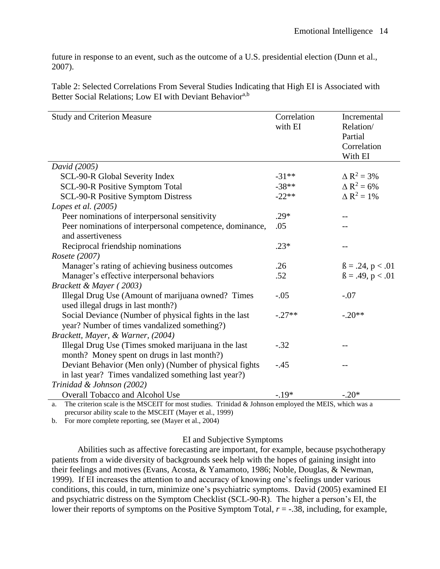future in response to an event, such as the outcome of a U.S. presidential election (Dunn et al., 2007).

Table 2: Selected Correlations From Several Studies Indicating that High EI is Associated with Better Social Relations; Low EI with Deviant Behavior<sup>a,b</sup>

| <b>Study and Criterion Measure</b>                                                                     | Correlation<br>with EI | Incremental<br>Relation/<br>Partial<br>Correlation<br>With EI |  |  |  |
|--------------------------------------------------------------------------------------------------------|------------------------|---------------------------------------------------------------|--|--|--|
| David (2005)                                                                                           |                        |                                                               |  |  |  |
| SCL-90-R Global Severity Index                                                                         | $-31**$                | $\Delta R^2 = 3\%$                                            |  |  |  |
| SCL-90-R Positive Symptom Total                                                                        | $-38**$                | $\Delta R^2 = 6\%$                                            |  |  |  |
| <b>SCL-90-R Positive Symptom Distress</b>                                                              | $-22**$                | $\Delta R^2 = 1\%$                                            |  |  |  |
| Lopes et al. $(2005)$                                                                                  |                        |                                                               |  |  |  |
| Peer nominations of interpersonal sensitivity                                                          | $.29*$                 |                                                               |  |  |  |
| Peer nominations of interpersonal competence, dominance,                                               | .05                    |                                                               |  |  |  |
| and assertiveness                                                                                      |                        |                                                               |  |  |  |
| Reciprocal friendship nominations                                                                      | $.23*$                 |                                                               |  |  |  |
| Rosete (2007)                                                                                          |                        |                                                               |  |  |  |
| Manager's rating of achieving business outcomes                                                        | .26                    | $\beta = .24, p < .01$                                        |  |  |  |
| Manager's effective interpersonal behaviors                                                            | .52                    | $\beta = .49, p < .01$                                        |  |  |  |
| Brackett & Mayer (2003)                                                                                |                        |                                                               |  |  |  |
| Illegal Drug Use (Amount of marijuana owned? Times<br>used illegal drugs in last month?)               | $-.05$                 | $-.07$                                                        |  |  |  |
| Social Deviance (Number of physical fights in the last<br>year? Number of times vandalized something?) | $-.27**$               | $-.20**$                                                      |  |  |  |
| Brackett, Mayer, & Warner, (2004)                                                                      |                        |                                                               |  |  |  |
| Illegal Drug Use (Times smoked marijuana in the last                                                   | $-.32$                 |                                                               |  |  |  |
| month? Money spent on drugs in last month?)                                                            |                        |                                                               |  |  |  |
| Deviant Behavior (Men only) (Number of physical fights                                                 | $-.45$                 |                                                               |  |  |  |
| in last year? Times vandalized something last year?)                                                   |                        |                                                               |  |  |  |
| Trinidad & Johnson (2002)                                                                              |                        |                                                               |  |  |  |
| <b>Overall Tobacco and Alcohol Use</b>                                                                 | $-.19*$                | $-.20*$                                                       |  |  |  |

a. The criterion scale is the MSCEIT for most studies. Trinidad & Johnson employed the MEIS, which was a precursor ability scale to the MSCEIT (Mayer et al., 1999)

b. For more complete reporting, see (Mayer et al., 2004)

# EI and Subjective Symptoms

Abilities such as affective forecasting are important, for example, because psychotherapy patients from a wide diversity of backgrounds seek help with the hopes of gaining insight into their feelings and motives (Evans, Acosta, & Yamamoto, 1986; Noble, Douglas, & Newman, 1999). If EI increases the attention to and accuracy of knowing one's feelings under various conditions, this could, in turn, minimize one's psychiatric symptoms. David (2005) examined EI and psychiatric distress on the Symptom Checklist (SCL-90-R). The higher a person's EI, the lower their reports of symptoms on the Positive Symptom Total, *r* = -.38, including, for example,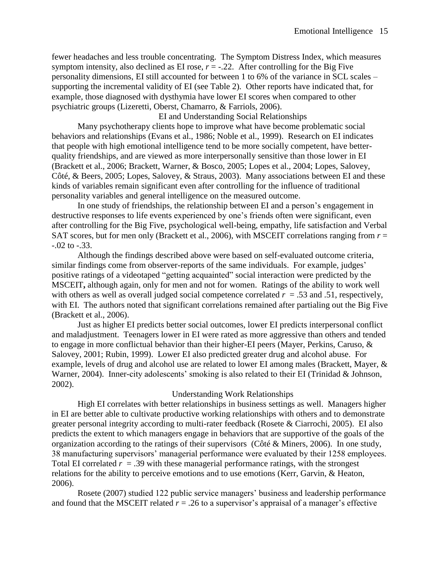fewer headaches and less trouble concentrating. The Symptom Distress Index, which measures symptom intensity, also declined as EI rose,  $r = -0.22$ . After controlling for the Big Five personality dimensions, EI still accounted for between 1 to 6% of the variance in SCL scales – supporting the incremental validity of EI (see Table 2). Other reports have indicated that, for example, those diagnosed with dysthymia have lower EI scores when compared to other psychiatric groups (Lizeretti, Oberst, Chamarro, & Farriols, 2006).

EI and Understanding Social Relationships

Many psychotherapy clients hope to improve what have become problematic social behaviors and relationships (Evans et al., 1986; Noble et al., 1999). Research on EI indicates that people with high emotional intelligence tend to be more socially competent, have betterquality friendships, and are viewed as more interpersonally sensitive than those lower in EI (Brackett et al., 2006; Brackett, Warner, & Bosco, 2005; Lopes et al., 2004; Lopes, Salovey, Côté, & Beers, 2005; Lopes, Salovey, & Straus, 2003). Many associations between EI and these kinds of variables remain significant even after controlling for the influence of traditional personality variables and general intelligence on the measured outcome.

In one study of friendships, the relationship between EI and a person's engagement in destructive responses to life events experienced by one's friends often were significant, even after controlling for the Big Five, psychological well-being, empathy, life satisfaction and Verbal SAT scores, but for men only (Brackett et al., 2006), with MSCEIT correlations ranging from *r* = -.02 to -.33.

Although the findings described above were based on self-evaluated outcome criteria, similar findings come from observer-reports of the same individuals. For example, judges' positive ratings of a videotaped "getting acquainted" social interaction were predicted by the MSCEIT**,** although again, only for men and not for women. Ratings of the ability to work well with others as well as overall judged social competence correlated  $r = .53$  and .51, respectively, with EI. The authors noted that significant correlations remained after partialing out the Big Five (Brackett et al., 2006).

Just as higher EI predicts better social outcomes, lower EI predicts interpersonal conflict and maladjustment. Teenagers lower in EI were rated as more aggressive than others and tended to engage in more conflictual behavior than their higher-EI peers (Mayer, Perkins, Caruso, & Salovey, 2001; Rubin, 1999). Lower EI also predicted greater drug and alcohol abuse. For example, levels of drug and alcohol use are related to lower EI among males (Brackett, Mayer, & Warner, 2004). Inner-city adolescents' smoking is also related to their EI (Trinidad & Johnson, 2002).

# Understanding Work Relationships

High EI correlates with better relationships in business settings as well. Managers higher in EI are better able to cultivate productive working relationships with others and to demonstrate greater personal integrity according to multi-rater feedback (Rosete & Ciarrochi, 2005). EI also predicts the extent to which managers engage in behaviors that are supportive of the goals of the organization according to the ratings of their supervisors (Côté & Miners, 2006). In one study, 38 manufacturing supervisors' managerial performance were evaluated by their 1258 employees. Total EI correlated  $r = .39$  with these managerial performance ratings, with the strongest relations for the ability to perceive emotions and to use emotions (Kerr, Garvin, & Heaton, 2006).

Rosete (2007) studied 122 public service managers' business and leadership performance and found that the MSCEIT related  $r = .26$  to a supervisor's appraisal of a manager's effective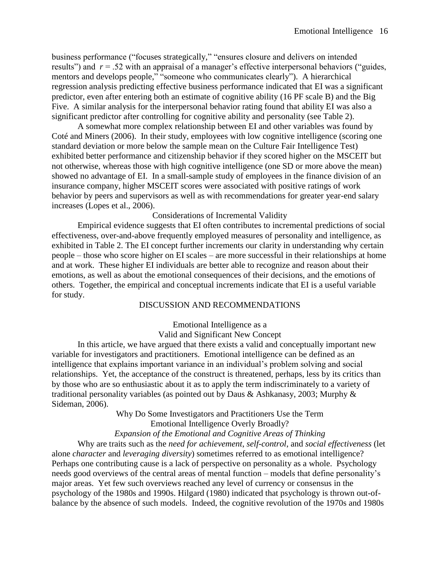business performance ("focuses strategically," "ensures closure and delivers on intended results") and *r* = .52 with an appraisal of a manager's effective interpersonal behaviors ("guides, mentors and develops people," "someone who communicates clearly"). A hierarchical regression analysis predicting effective business performance indicated that EI was a significant predictor, even after entering both an estimate of cognitive ability (16 PF scale B) and the Big Five. A similar analysis for the interpersonal behavior rating found that ability EI was also a significant predictor after controlling for cognitive ability and personality (see Table 2).

A somewhat more complex relationship between EI and other variables was found by Coté and Miners (2006). In their study, employees with low cognitive intelligence (scoring one standard deviation or more below the sample mean on the Culture Fair Intelligence Test) exhibited better performance and citizenship behavior if they scored higher on the MSCEIT but not otherwise, whereas those with high cognitive intelligence (one SD or more above the mean) showed no advantage of EI. In a small-sample study of employees in the finance division of an insurance company, higher MSCEIT scores were associated with positive ratings of work behavior by peers and supervisors as well as with recommendations for greater year-end salary increases (Lopes et al., 2006).

# Considerations of Incremental Validity

Empirical evidence suggests that EI often contributes to incremental predictions of social effectiveness, over-and-above frequently employed measures of personality and intelligence, as exhibited in Table 2. The EI concept further increments our clarity in understanding why certain people – those who score higher on EI scales – are more successful in their relationships at home and at work. These higher EI individuals are better able to recognize and reason about their emotions, as well as about the emotional consequences of their decisions, and the emotions of others. Together, the empirical and conceptual increments indicate that EI is a useful variable for study.

# DISCUSSION AND RECOMMENDATIONS

# Emotional Intelligence as a Valid and Significant New Concept

In this article, we have argued that there exists a valid and conceptually important new variable for investigators and practitioners. Emotional intelligence can be defined as an intelligence that explains important variance in an individual's problem solving and social relationships. Yet, the acceptance of the construct is threatened, perhaps, less by its critics than by those who are so enthusiastic about it as to apply the term indiscriminately to a variety of traditional personality variables (as pointed out by Daus & Ashkanasy, 2003; Murphy & Sideman, 2006).

Why Do Some Investigators and Practitioners Use the Term

Emotional Intelligence Overly Broadly?

*Expansion of the Emotional and Cognitive Areas of Thinking*

Why are traits such as the *need for achievement*, *self-control*, and *social effectiveness* (let alone *character* and *leveraging diversity*) sometimes referred to as emotional intelligence? Perhaps one contributing cause is a lack of perspective on personality as a whole. Psychology needs good overviews of the central areas of mental function – models that define personality's major areas. Yet few such overviews reached any level of currency or consensus in the psychology of the 1980s and 1990s. Hilgard (1980) indicated that psychology is thrown out-ofbalance by the absence of such models. Indeed, the cognitive revolution of the 1970s and 1980s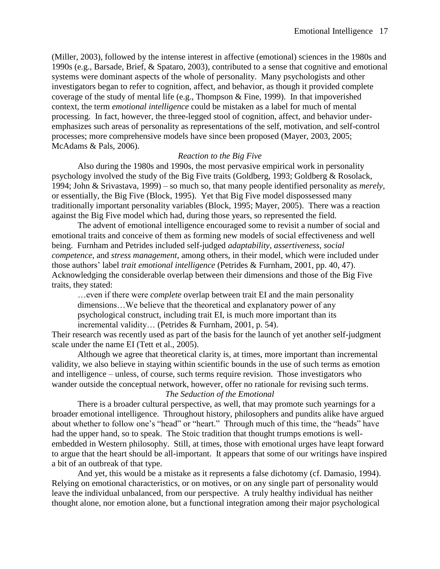(Miller, 2003), followed by the intense interest in affective (emotional) sciences in the 1980s and 1990s (e.g., Barsade, Brief, & Spataro, 2003), contributed to a sense that cognitive and emotional systems were dominant aspects of the whole of personality. Many psychologists and other investigators began to refer to cognition, affect, and behavior, as though it provided complete coverage of the study of mental life (e.g., Thompson & Fine, 1999). In that impoverished context, the term *emotional intelligence* could be mistaken as a label for much of mental processing. In fact, however, the three-legged stool of cognition, affect, and behavior underemphasizes such areas of personality as representations of the self, motivation, and self-control processes; more comprehensive models have since been proposed (Mayer, 2003, 2005; McAdams & Pals, 2006).

#### *Reaction to the Big Five*

Also during the 1980s and 1990s, the most pervasive empirical work in personality psychology involved the study of the Big Five traits (Goldberg, 1993; Goldberg & Rosolack, 1994; John & Srivastava, 1999) – so much so, that many people identified personality as *merely,*  or essentially, the Big Five (Block, 1995). Yet that Big Five model dispossessed many traditionally important personality variables (Block, 1995; Mayer, 2005). There was a reaction against the Big Five model which had, during those years, so represented the field.

The advent of emotional intelligence encouraged some to revisit a number of social and emotional traits and conceive of them as forming new models of social effectiveness and well being. Furnham and Petrides included self-judged *adaptability*, *assertiveness*, *social competence*, and *stress management*, among others, in their model, which were included under those authors' label *trait emotional intelligence* (Petrides & Furnham, 2001, pp. 40, 47). Acknowledging the considerable overlap between their dimensions and those of the Big Five traits, they stated:

…even if there were *complete* overlap between trait EI and the main personality dimensions…We believe that the theoretical and explanatory power of any psychological construct, including trait EI, is much more important than its incremental validity… (Petrides & Furnham, 2001, p. 54).

Their research was recently used as part of the basis for the launch of yet another self-judgment scale under the name EI (Tett et al., 2005).

Although we agree that theoretical clarity is, at times, more important than incremental validity, we also believe in staying within scientific bounds in the use of such terms as emotion and intelligence – unless, of course, such terms require revision. Those investigators who wander outside the conceptual network, however, offer no rationale for revising such terms.

# *The Seduction of the Emotional*

There is a broader cultural perspective, as well, that may promote such yearnings for a broader emotional intelligence. Throughout history, philosophers and pundits alike have argued about whether to follow one's "head" or "heart." Through much of this time, the "heads" have had the upper hand, so to speak. The Stoic tradition that thought trumps emotions is wellembedded in Western philosophy. Still, at times, those with emotional urges have leapt forward to argue that the heart should be all-important. It appears that some of our writings have inspired a bit of an outbreak of that type.

And yet, this would be a mistake as it represents a false dichotomy (cf. Damasio, 1994). Relying on emotional characteristics, or on motives, or on any single part of personality would leave the individual unbalanced, from our perspective. A truly healthy individual has neither thought alone, nor emotion alone, but a functional integration among their major psychological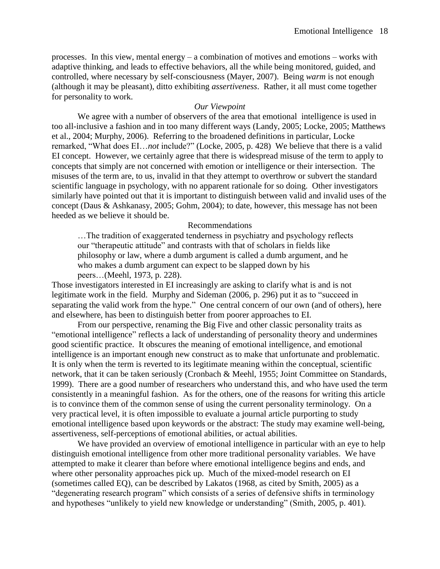processes. In this view, mental energy – a combination of motives and emotions – works with adaptive thinking, and leads to effective behaviors, all the while being monitored, guided, and controlled, where necessary by self-consciousness (Mayer, 2007). Being *warm* is not enough (although it may be pleasant), ditto exhibiting *assertiveness*. Rather, it all must come together for personality to work.

#### *Our Viewpoint*

We agree with a number of observers of the area that emotional intelligence is used in too all-inclusive a fashion and in too many different ways (Landy, 2005; Locke, 2005; Matthews et al., 2004; Murphy, 2006). Referring to the broadened definitions in particular, Locke remarked, "What does EI…*not* include?" (Locke, 2005, p. 428) We believe that there is a valid EI concept. However, we certainly agree that there is widespread misuse of the term to apply to concepts that simply are not concerned with emotion or intelligence or their intersection. The misuses of the term are, to us, invalid in that they attempt to overthrow or subvert the standard scientific language in psychology, with no apparent rationale for so doing. Other investigators similarly have pointed out that it is important to distinguish between valid and invalid uses of the concept (Daus & Ashkanasy, 2005; Gohm, 2004); to date, however, this message has not been heeded as we believe it should be.

#### Recommendations

…The tradition of exaggerated tenderness in psychiatry and psychology reflects our "therapeutic attitude" and contrasts with that of scholars in fields like philosophy or law, where a dumb argument is called a dumb argument, and he who makes a dumb argument can expect to be slapped down by his peers…(Meehl, 1973, p. 228).

Those investigators interested in EI increasingly are asking to clarify what is and is not legitimate work in the field. Murphy and Sideman (2006, p. 296) put it as to "succeed in separating the valid work from the hype." One central concern of our own (and of others), here and elsewhere, has been to distinguish better from poorer approaches to EI.

From our perspective, renaming the Big Five and other classic personality traits as "emotional intelligence" reflects a lack of understanding of personality theory and undermines good scientific practice. It obscures the meaning of emotional intelligence, and emotional intelligence is an important enough new construct as to make that unfortunate and problematic. It is only when the term is reverted to its legitimate meaning within the conceptual, scientific network, that it can be taken seriously (Cronbach & Meehl, 1955; Joint Committee on Standards, 1999). There are a good number of researchers who understand this, and who have used the term consistently in a meaningful fashion. As for the others, one of the reasons for writing this article is to convince them of the common sense of using the current personality terminology. On a very practical level, it is often impossible to evaluate a journal article purporting to study emotional intelligence based upon keywords or the abstract: The study may examine well-being, assertiveness, self-perceptions of emotional abilities, or actual abilities.

We have provided an overview of emotional intelligence in particular with an eye to help distinguish emotional intelligence from other more traditional personality variables. We have attempted to make it clearer than before where emotional intelligence begins and ends, and where other personality approaches pick up. Much of the mixed-model research on EI (sometimes called EQ), can be described by Lakatos (1968, as cited by Smith, 2005) as a "degenerating research program" which consists of a series of defensive shifts in terminology and hypotheses "unlikely to yield new knowledge or understanding" (Smith, 2005, p. 401).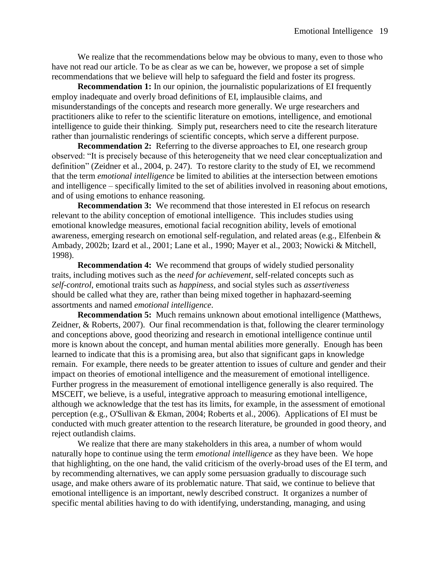We realize that the recommendations below may be obvious to many, even to those who have not read our article. To be as clear as we can be, however, we propose a set of simple recommendations that we believe will help to safeguard the field and foster its progress.

**Recommendation 1:** In our opinion, the journalistic popularizations of EI frequently employ inadequate and overly broad definitions of EI, implausible claims, and misunderstandings of the concepts and research more generally. We urge researchers and practitioners alike to refer to the scientific literature on emotions, intelligence, and emotional intelligence to guide their thinking. Simply put, researchers need to cite the research literature rather than journalistic renderings of scientific concepts, which serve a different purpose.

**Recommendation 2:** Referring to the diverse approaches to EI, one research group observed: "It is precisely because of this heterogeneity that we need clear conceptualization and definition" (Zeidner et al., 2004, p. 247). To restore clarity to the study of EI, we recommend that the term *emotional intelligence* be limited to abilities at the intersection between emotions and intelligence – specifically limited to the set of abilities involved in reasoning about emotions, and of using emotions to enhance reasoning.

**Recommendation 3:** We recommend that those interested in EI refocus on research relevant to the ability conception of emotional intelligence. This includes studies using emotional knowledge measures, emotional facial recognition ability, levels of emotional awareness, emerging research on emotional self-regulation, and related areas (e.g., Elfenbein & Ambady, 2002b; Izard et al., 2001; Lane et al., 1990; Mayer et al., 2003; Nowicki & Mitchell, 1998).

**Recommendation 4:** We recommend that groups of widely studied personality traits, including motives such as the *need for achievement*, self-related concepts such as *self-control*, emotional traits such as *happiness*, and social styles such as *assertiveness* should be called what they are, rather than being mixed together in haphazard-seeming assortments and named *emotional intelligence*.

**Recommendation 5:** Much remains unknown about emotional intelligence (Matthews, Zeidner, & Roberts, 2007). Our final recommendation is that, following the clearer terminology and conceptions above, good theorizing and research in emotional intelligence continue until more is known about the concept, and human mental abilities more generally. Enough has been learned to indicate that this is a promising area, but also that significant gaps in knowledge remain. For example, there needs to be greater attention to issues of culture and gender and their impact on theories of emotional intelligence and the measurement of emotional intelligence. Further progress in the measurement of emotional intelligence generally is also required. The MSCEIT, we believe, is a useful, integrative approach to measuring emotional intelligence, although we acknowledge that the test has its limits, for example, in the assessment of emotional perception (e.g., O'Sullivan & Ekman, 2004; Roberts et al., 2006). Applications of EI must be conducted with much greater attention to the research literature, be grounded in good theory, and reject outlandish claims.

We realize that there are many stakeholders in this area, a number of whom would naturally hope to continue using the term *emotional intelligence* as they have been. We hope that highlighting, on the one hand, the valid criticism of the overly-broad uses of the EI term, and by recommending alternatives, we can apply some persuasion gradually to discourage such usage, and make others aware of its problematic nature. That said, we continue to believe that emotional intelligence is an important, newly described construct. It organizes a number of specific mental abilities having to do with identifying, understanding, managing, and using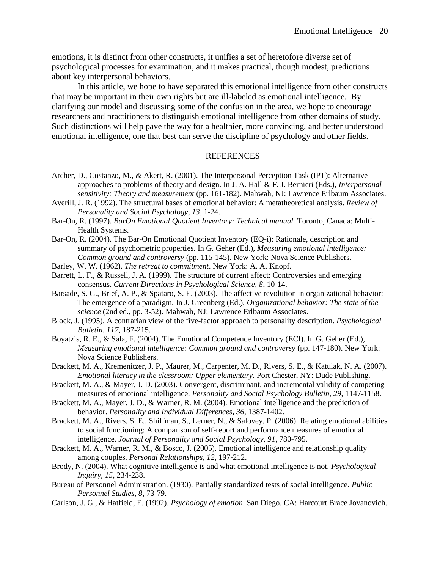emotions, it is distinct from other constructs, it unifies a set of heretofore diverse set of psychological processes for examination, and it makes practical, though modest, predictions about key interpersonal behaviors.

In this article, we hope to have separated this emotional intelligence from other constructs that may be important in their own rights but are ill-labeled as emotional intelligence. By clarifying our model and discussing some of the confusion in the area, we hope to encourage researchers and practitioners to distinguish emotional intelligence from other domains of study. Such distinctions will help pave the way for a healthier, more convincing, and better understood emotional intelligence, one that best can serve the discipline of psychology and other fields.

#### REFERENCES

- Archer, D., Costanzo, M., & Akert, R. (2001). The Interpersonal Perception Task (IPT): Alternative approaches to problems of theory and design. In J. A. Hall & F. J. Bernieri (Eds.), *Interpersonal sensitivity: Theory and measurement* (pp. 161-182). Mahwah, NJ: Lawrence Erlbaum Associates.
- Averill, J. R. (1992). The structural bases of emotional behavior: A metatheoretical analysis. *Review of Personality and Social Psychology, 13*, 1-24.
- Bar-On, R. (1997). *BarOn Emotional Quotient Inventory: Technical manual.* Toronto, Canada: Multi-Health Systems.
- Bar-On, R. (2004). The Bar-On Emotional Quotient Inventory (EQ-i): Rationale, description and summary of psychometric properties. In G. Geher (Ed.), *Measuring emotional intelligence: Common ground and controversy* (pp. 115-145). New York: Nova Science Publishers.
- Barley, W. W. (1962). *The retreat to commitment*. New York: A. A. Knopf.
- Barrett, L. F., & Russell, J. A. (1999). The structure of current affect: Controversies and emerging consensus. *Current Directions in Psychological Science, 8*, 10-14.
- Barsade, S. G., Brief, A. P., & Spataro, S. E. (2003). The affective revolution in organizational behavior: The emergence of a paradigm. In J. Greenberg (Ed.), *Organizational behavior: The state of the science* (2nd ed., pp. 3-52). Mahwah, NJ: Lawrence Erlbaum Associates.
- Block, J. (1995). A contrarian view of the five-factor approach to personality description. *Psychological Bulletin, 117*, 187-215.
- Boyatzis, R. E., & Sala, F. (2004). The Emotional Competence Inventory (ECI). In G. Geher (Ed.), *Measuring emotional intelligence: Common ground and controversy* (pp. 147-180). New York: Nova Science Publishers.
- Brackett, M. A., Kremenitzer, J. P., Maurer, M., Carpenter, M. D., Rivers, S. E., & Katulak, N. A. (2007). *Emotional literacy in the classroom: Upper elementary*. Port Chester, NY: Dude Publishing.
- Brackett, M. A., & Mayer, J. D. (2003). Convergent, discriminant, and incremental validity of competing measures of emotional intelligence. *Personality and Social Psychology Bulletin, 29*, 1147-1158.
- Brackett, M. A., Mayer, J. D., & Warner, R. M. (2004). Emotional intelligence and the prediction of behavior. *Personality and Individual Differences, 36*, 1387-1402.
- Brackett, M. A., Rivers, S. E., Shiffman, S., Lerner, N., & Salovey, P. (2006). Relating emotional abilities to social functioning: A comparison of self-report and performance measures of emotional intelligence. *Journal of Personality and Social Psychology, 91*, 780-795.
- Brackett, M. A., Warner, R. M., & Bosco, J. (2005). Emotional intelligence and relationship quality among couples. *Personal Relationships, 12*, 197-212.
- Brody, N. (2004). What cognitive intelligence is and what emotional intelligence is not. *Psychological Inquiry, 15*, 234-238.
- Bureau of Personnel Administration. (1930). Partially standardized tests of social intelligence. *Public Personnel Studies, 8*, 73-79.
- Carlson, J. G., & Hatfield, E. (1992). *Psychology of emotion*. San Diego, CA: Harcourt Brace Jovanovich.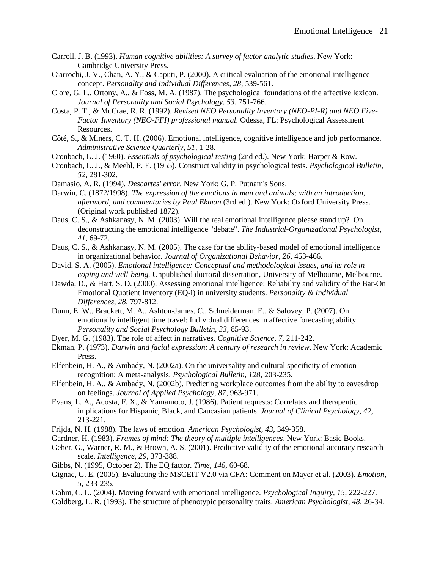- Carroll, J. B. (1993). *Human cognitive abilities: A survey of factor analytic studies*. New York: Cambridge University Press.
- Ciarrochi, J. V., Chan, A. Y., & Caputi, P. (2000). A critical evaluation of the emotional intelligence concept. *Personality and Individual Differences, 28*, 539-561.
- Clore, G. L., Ortony, A., & Foss, M. A. (1987). The psychological foundations of the affective lexicon. *Journal of Personality and Social Psychology, 53*, 751-766.
- Costa, P. T., & McCrae, R. R. (1992). *Revised NEO Personality Inventory (NEO-PI-R) and NEO Five-Factor Inventory (NEO-FFI) professional manual.* Odessa, FL: Psychological Assessment Resources.
- Côté, S., & Miners, C. T. H. (2006). Emotional intelligence, cognitive intelligence and job performance. *Administrative Science Quarterly, 51*, 1-28.
- Cronbach, L. J. (1960). *Essentials of psychological testing* (2nd ed.). New York: Harper & Row.
- Cronbach, L. J., & Meehl, P. E. (1955). Construct validity in psychological tests. *Psychological Bulletin, 52*, 281-302.
- Damasio, A. R. (1994). *Descartes' error*. New York: G. P. Putnam's Sons.
- Darwin, C. (1872/1998). *The expression of the emotions in man and animals; with an introduction, afterword, and commentaries by Paul Ekman* (3rd ed.). New York: Oxford University Press. (Original work published 1872).
- Daus, C. S., & Ashkanasy, N. M. (2003). Will the real emotional intelligence please stand up? On deconstructing the emotional intelligence "debate". *The Industrial-Organizational Psychologist, 41*, 69-72.
- Daus, C. S., & Ashkanasy, N. M. (2005). The case for the ability-based model of emotional intelligence in organizational behavior. *Journal of Organizational Behavior, 26*, 453-466.
- David, S. A. (2005). *Emotional intelligence: Conceptual and methodological issues, and its role in coping and well-being.* Unpublished doctoral dissertation, University of Melbourne, Melbourne.
- Dawda, D., & Hart, S. D. (2000). Assessing emotional intelligence: Reliability and validity of the Bar-On Emotional Quotient Inventory (EQ-i) in university students. *Personality & Individual Differences, 28*, 797-812.
- Dunn, E. W., Brackett, M. A., Ashton-James, C., Schneiderman, E., & Salovey, P. (2007). On emotionally intelligent time travel: Individual differences in affective forecasting ability. *Personality and Social Psychology Bulletin, 33*, 85-93.
- Dyer, M. G. (1983). The role of affect in narratives. *Cognitive Science, 7*, 211-242.
- Ekman, P. (1973). *Darwin and facial expression: A century of research in review*. New York: Academic Press.
- Elfenbein, H. A., & Ambady, N. (2002a). On the universality and cultural specificity of emotion recognition: A meta-analysis. *Psychological Bulletin, 128*, 203-235.
- Elfenbein, H. A., & Ambady, N. (2002b). Predicting workplace outcomes from the ability to eavesdrop on feelings. *Journal of Applied Psychology, 87*, 963-971.
- Evans, L. A., Acosta, F. X., & Yamamoto, J. (1986). Patient requests: Correlates and therapeutic implications for Hispanic, Black, and Caucasian patients. *Journal of Clinical Psychology, 42*, 213-221.
- Frijda, N. H. (1988). The laws of emotion. *American Psychologist, 43*, 349-358.
- Gardner, H. (1983). *Frames of mind: The theory of multiple intelligences*. New York: Basic Books.
- Geher, G., Warner, R. M., & Brown, A. S. (2001). Predictive validity of the emotional accuracy research scale. *Intelligence, 29*, 373-388.
- Gibbs, N. (1995, October 2). The EQ factor. *Time, 146*, 60-68.
- Gignac, G. E. (2005). Evaluating the MSCEIT V2.0 via CFA: Comment on Mayer et al. (2003). *Emotion, 5*, 233-235.
- Gohm, C. L. (2004). Moving forward with emotional intelligence. *Psychological Inquiry, 15*, 222-227.
- Goldberg, L. R. (1993). The structure of phenotypic personality traits. *American Psychologist, 48*, 26-34.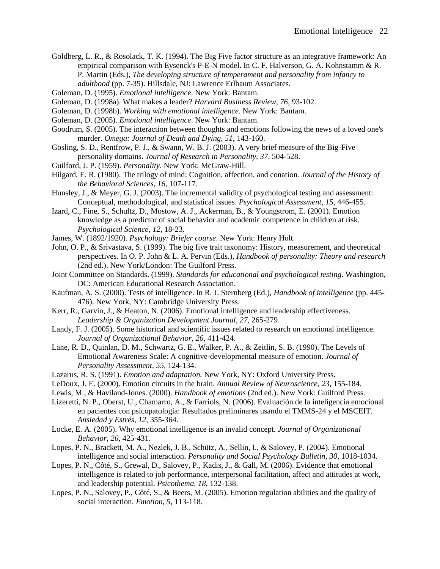- Goldberg, L. R., & Rosolack, T. K. (1994). The Big Five factor structure as an integrative framework: An empirical comparison with Eysenck's P-E-N model. In C. F. Halverson, G. A. Kohnstamm & R. P. Martin (Eds.), *The developing structure of temperament and personality from infancy to* 
	- *adulthood* (pp. 7-35). Hillsdale, NJ: Lawrence Erlbaum Associates.
- Goleman, D. (1995). *Emotional intelligence*. New York: Bantam.
- Goleman, D. (1998a). What makes a leader? *Harvard Business Review, 76*, 93-102.
- Goleman, D. (1998b). *Working with emotional intelligence.* New York: Bantam.
- Goleman, D. (2005). *Emotional intelligence*. New York: Bantam.
- Goodrum, S. (2005). The interaction between thoughts and emotions following the news of a loved one's murder. *Omega: Journal of Death and Dying, 51*, 143-160.
- Gosling, S. D., Rentfrow, P. J., & Swann, W. B. J. (2003). A very brief measure of the Big-Five personality domains. *Journal of Research in Personality, 37*, 504-528.
- Guilford, J. P. (1959). *Personality*. New York: McGraw-Hill.
- Hilgard, E. R. (1980). The trilogy of mind: Cognition, affection, and conation. *Journal of the History of the Behavioral Sciences, 16*, 107-117.
- Hunsley, J., & Meyer, G. J. (2003). The incremental validity of psychological testing and assessment: Conceptual, methodological, and statistical issues. *Psychological Assessment, 15*, 446-455.
- Izard, C., Fine, S., Schultz, D., Mostow, A. J., Ackerman, B., & Youngstrom, E. (2001). Emotion knowledge as a predictor of social behavior and academic competence in children at risk. *Psychological Science, 12*, 18-23.
- James, W. (1892/1920). *Psychology: Briefer course*. New York: Henry Holt.
- John, O. P., & Srivastava, S. (1999). The big five trait taxonomy: History, measurement, and theoretical perspectives. In O. P. John & L. A. Pervin (Eds.), *Handbook of personality: Theory and research* (2nd ed.). New York/London: The Guilford Press.
- Joint Committee on Standards. (1999). *Standards for educational and psychological testing*. Washington, DC: American Educational Research Association.
- Kaufman, A. S. (2000). Tests of intelligence. In R. J. Sternberg (Ed.), *Handbook of intelligence* (pp. 445- 476). New York, NY: Cambridge University Press.
- Kerr, R., Garvin, J., & Heaton, N. (2006). Emotional intelligence and leadership effectiveness. *Leadership & Organization Development Journal, 27*, 265-279.
- Landy, F. J. (2005). Some historical and scientific issues related to research on emotional intelligence. *Journal of Organizational Behavior, 26*, 411-424.
- Lane, R. D., Quinlan, D. M., Schwartz, G. E., Walker, P. A., & Zeitlin, S. B. (1990). The Levels of Emotional Awareness Scale: A cognitive-developmental measure of emotion. *Journal of Personality Assessment, 55*, 124-134.
- Lazarus, R. S. (1991). *Emotion and adaptation.* New York, NY: Oxford University Press.
- LeDoux, J. E. (2000). Emotion circuits in the brain. *Annual Review of Neuroscience, 23*, 155-184.
- Lewis, M., & Haviland-Jones. (2000). *Handbook of emotions* (2nd ed.). New York: Guilford Press.
- Lizeretti, N. P., Oberst, U., Chamarro, A., & Farriols, N. (2006). Evaluación de la inteligencia emocional en pacientes con psicopatología: Resultados preliminares usando el TMMS-24 y el MSCEIT. *Ansiedad y Estrés, 12*, 355-364.
- Locke, E. A. (2005). Why emotional intelligence is an invalid concept. *Journal of Organizational Behavior, 26*, 425-431.
- Lopes, P. N., Brackett, M. A., Nezlek, J. B., Schütz, A., Sellin, I., & Salovey, P. (2004). Emotional intelligence and social interaction. *Personality and Social Psychology Bulletin, 30*, 1018-1034.
- Lopes, P. N., Côté, S., Grewal, D., Salovey, P., Kadis, J., & Gall, M. (2006). Evidence that emotional intelligence is related to job performance, interpersonal facilitation, affect and attitudes at work, and leadership potential. *Psicothema, 18*, 132-138.
- Lopes, P. N., Salovey, P., Côté, S., & Beers, M. (2005). Emotion regulation abilities and the quality of social interaction. *Emotion, 5*, 113-118.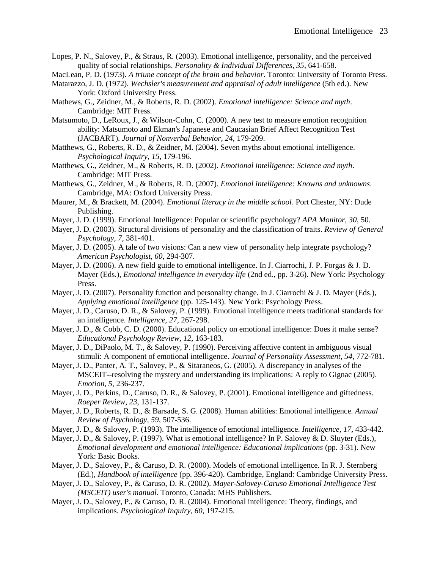- Lopes, P. N., Salovey, P., & Straus, R. (2003). Emotional intelligence, personality, and the perceived quality of social relationships. *Personality & Individual Differences, 35*, 641-658.
- MacLean, P. D. (1973). *A triune concept of the brain and behavior*. Toronto: University of Toronto Press.
- Matarazzo, J. D. (1972). *Wechsler's measurement and appraisal of adult intelligence* (5th ed.). New York: Oxford University Press.
- Mathews, G., Zeidner, M., & Roberts, R. D. (2002). *Emotional intelligence: Science and myth*. Cambridge: MIT Press.
- Matsumoto, D., LeRoux, J., & Wilson-Cohn, C. (2000). A new test to measure emotion recognition ability: Matsumoto and Ekman's Japanese and Caucasian Brief Affect Recognition Test (JACBART). *Journal of Nonverbal Behavior, 24*, 179-209.
- Matthews, G., Roberts, R. D., & Zeidner, M. (2004). Seven myths about emotional intelligence. *Psychological Inquiry, 15*, 179-196.
- Matthews, G., Zeidner, M., & Roberts, R. D. (2002). *Emotional intelligence: Science and myth*. Cambridge: MIT Press.
- Matthews, G., Zeidner, M., & Roberts, R. D. (2007). *Emotional intelligence: Knowns and unknowns*. Cambridge, MA: Oxford University Press.
- Maurer, M., & Brackett, M. (2004). *Emotional literacy in the middle school*. Port Chester, NY: Dude Publishing.
- Mayer, J. D. (1999). Emotional Intelligence: Popular or scientific psychology? *APA Monitor, 30,* 50.
- Mayer, J. D. (2003). Structural divisions of personality and the classification of traits. *Review of General Psychology, 7*, 381-401.
- Mayer, J. D. (2005). A tale of two visions: Can a new view of personality help integrate psychology? *American Psychologist, 60*, 294-307.
- Mayer, J. D. (2006). A new field guide to emotional intelligence. In J. Ciarrochi, J. P. Forgas & J. D. Mayer (Eds.), *Emotional intelligence in everyday life* (2nd ed., pp. 3-26). New York: Psychology Press.
- Mayer, J. D. (2007). Personality function and personality change. In J. Ciarrochi & J. D. Mayer (Eds.), *Applying emotional intelligence* (pp. 125-143). New York: Psychology Press.
- Mayer, J. D., Caruso, D. R., & Salovey, P. (1999). Emotional intelligence meets traditional standards for an intelligence. *Intelligence, 27*, 267-298.
- Mayer, J. D., & Cobb, C. D. (2000). Educational policy on emotional intelligence: Does it make sense? *Educational Psychology Review, 12*, 163-183.
- Mayer, J. D., DiPaolo, M. T., & Salovey, P. (1990). Perceiving affective content in ambiguous visual stimuli: A component of emotional intelligence. *Journal of Personality Assessment, 54*, 772-781.
- Mayer, J. D., Panter, A. T., Salovey, P., & Sitaraneos, G. (2005). A discrepancy in analyses of the MSCEIT--resolving the mystery and understanding its implications: A reply to Gignac (2005). *Emotion, 5*, 236-237.
- Mayer, J. D., Perkins, D., Caruso, D. R., & Salovey, P. (2001). Emotional intelligence and giftedness. *Roeper Review, 23*, 131-137.
- Mayer, J. D., Roberts, R. D., & Barsade, S. G. (2008). Human abilities: Emotional intelligence. *Annual Review of Psychology, 59*, 507-536.
- Mayer, J. D., & Salovey, P. (1993). The intelligence of emotional intelligence. *Intelligence, 17*, 433-442.
- Mayer, J. D., & Salovey, P. (1997). What is emotional intelligence? In P. Salovey & D. Sluyter (Eds.), *Emotional development and emotional intelligence: Educational implications* (pp. 3-31). New York: Basic Books.
- Mayer, J. D., Salovey, P., & Caruso, D. R. (2000). Models of emotional intelligence. In R. J. Sternberg (Ed.), *Handbook of intelligence* (pp. 396-420). Cambridge, England: Cambridge University Press.
- Mayer, J. D., Salovey, P., & Caruso, D. R. (2002). *Mayer-Salovey-Caruso Emotional Intelligence Test (MSCEIT) user's manual*. Toronto, Canada: MHS Publishers.
- Mayer, J. D., Salovey, P., & Caruso, D. R. (2004). Emotional intelligence: Theory, findings, and implications. *Psychological Inquiry, 60*, 197-215.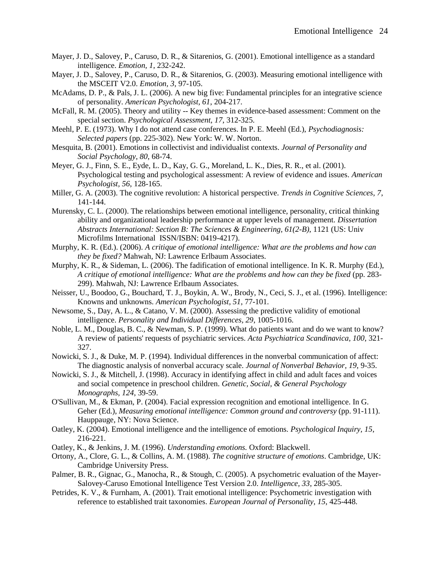- Mayer, J. D., Salovey, P., Caruso, D. R., & Sitarenios, G. (2001). Emotional intelligence as a standard intelligence. *Emotion, 1*, 232-242.
- Mayer, J. D., Salovey, P., Caruso, D. R., & Sitarenios, G. (2003). Measuring emotional intelligence with the MSCEIT V2.0. *Emotion, 3*, 97-105.
- McAdams, D. P., & Pals, J. L. (2006). A new big five: Fundamental principles for an integrative science of personality. *American Psychologist, 61*, 204-217.
- McFall, R. M. (2005). Theory and utility -- Key themes in evidence-based assessment: Comment on the special section. *Psychological Assessment, 17*, 312-325.
- Meehl, P. E. (1973). Why I do not attend case conferences. In P. E. Meehl (Ed.), *Psychodiagnosis: Selected papers* (pp. 225-302). New York: W. W. Norton.
- Mesquita, B. (2001). Emotions in collectivist and individualist contexts. *Journal of Personality and Social Psychology, 80*, 68-74.
- Meyer, G. J., Finn, S. E., Eyde, L. D., Kay, G. G., Moreland, L. K., Dies, R. R., et al. (2001). Psychological testing and psychological assessment: A review of evidence and issues. *American Psychologist, 56*, 128-165.
- Miller, G. A. (2003). The cognitive revolution: A historical perspective. *Trends in Cognitive Sciences, 7*, 141-144.
- Murensky, C. L. (2000). The relationships between emotional intelligence, personality, critical thinking ability and organizational leadership performance at upper levels of management. *Dissertation Abstracts International: Section B: The Sciences & Engineering, 61(2-B)*, 1121 (US: Univ Microfilms International ISSN/ISBN: 0419-4217).
- Murphy, K. R. (Ed.). (2006). *A critique of emotional intelligence: What are the problems and how can they be fixed?* Mahwah, NJ: Lawrence Erlbaum Associates.
- Murphy, K. R., & Sideman, L. (2006). The fadification of emotional intelligence. In K. R. Murphy (Ed.), *A critique of emotional intelligence: What are the problems and how can they be fixed* (pp. 283- 299). Mahwah, NJ: Lawrence Erlbaum Associates.
- Neisser, U., Boodoo, G., Bouchard, T. J., Boykin, A. W., Brody, N., Ceci, S. J., et al. (1996). Intelligence: Knowns and unknowns. *American Psychologist, 51*, 77-101.
- Newsome, S., Day, A. L., & Catano, V. M. (2000). Assessing the predictive validity of emotional intelligence. *Personality and Individual Differences, 29*, 1005-1016.
- Noble, L. M., Douglas, B. C., & Newman, S. P. (1999). What do patients want and do we want to know? A review of patients' requests of psychiatric services. *Acta Psychiatrica Scandinavica, 100*, 321- 327.
- Nowicki, S. J., & Duke, M. P. (1994). Individual differences in the nonverbal communication of affect: The diagnostic analysis of nonverbal accuracy scale. *Journal of Nonverbal Behavior, 19*, 9-35.
- Nowicki, S. J., & Mitchell, J. (1998). Accuracy in identifying affect in child and adult faces and voices and social competence in preschool children. *Genetic, Social, & General Psychology Monographs, 124*, 39-59.
- O'Sullivan, M., & Ekman, P. (2004). Facial expression recognition and emotional intelligence. In G. Geher (Ed.), *Measuring emotional intelligence: Common ground and controversy* (pp. 91-111). Hauppauge, NY: Nova Science.
- Oatley, K. (2004). Emotional intelligence and the intelligence of emotions. *Psychological Inquiry, 15*, 216-221.
- Oatley, K., & Jenkins, J. M. (1996). *Understanding emotions.* Oxford: Blackwell.
- Ortony, A., Clore, G. L., & Collins, A. M. (1988). *The cognitive structure of emotions*. Cambridge, UK: Cambridge University Press.
- Palmer, B. R., Gignac, G., Manocha, R., & Stough, C. (2005). A psychometric evaluation of the Mayer-Salovey-Caruso Emotional Intelligence Test Version 2.0. *Intelligence, 33*, 285-305.
- Petrides, K. V., & Furnham, A. (2001). Trait emotional intelligence: Psychometric investigation with reference to established trait taxonomies. *European Journal of Personality, 15*, 425-448.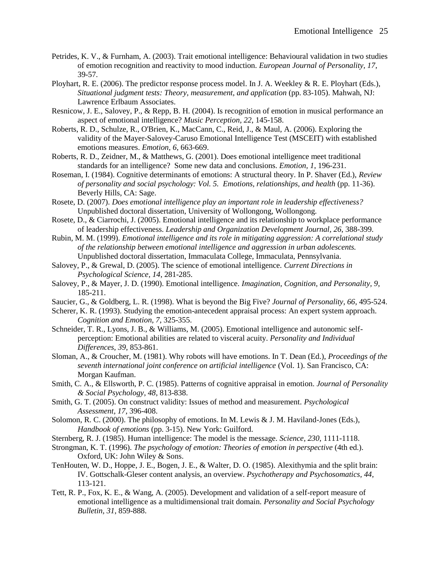- Petrides, K. V., & Furnham, A. (2003). Trait emotional intelligence: Behavioural validation in two studies of emotion recognition and reactivity to mood induction. *European Journal of Personality, 17*, 39-57.
- Ployhart, R. E. (2006). The predictor response process model. In J. A. Weekley & R. E. Ployhart (Eds.), *Situational judgment tests: Theory, measurement, and application* (pp. 83-105). Mahwah, NJ: Lawrence Erlbaum Associates.
- Resnicow, J. E., Salovey, P., & Repp, B. H. (2004). Is recognition of emotion in musical performance an aspect of emotional intelligence? *Music Perception, 22*, 145-158.
- Roberts, R. D., Schulze, R., O'Brien, K., MacCann, C., Reid, J., & Maul, A. (2006). Exploring the validity of the Mayer-Salovey-Caruso Emotional Intelligence Test (MSCEIT) with established emotions measures. *Emotion, 6*, 663-669.
- Roberts, R. D., Zeidner, M., & Matthews, G. (2001). Does emotional intelligence meet traditional standards for an intelligence? Some new data and conclusions. *Emotion, 1*, 196-231.
- Roseman, I. (1984). Cognitive determinants of emotions: A structural theory. In P. Shaver (Ed.), *Review of personality and social psychology: Vol. 5. Emotions, relationships, and health* (pp. 11-36). Beverly Hills, CA: Sage.
- Rosete, D. (2007). *Does emotional intelligence play an important role in leadership effectiveness?* Unpublished doctoral dissertation, University of Wollongong, Wollongong.
- Rosete, D., & Ciarrochi, J. (2005). Emotional intelligence and its relationship to workplace performance of leadership effectiveness. *Leadership and Organization Development Journal, 26*, 388-399.
- Rubin, M. M. (1999). *Emotional intelligence and its role in mitigating aggression: A correlational study of the relationship between emotional intelligence and aggression in urban adolescents.* Unpublished doctoral dissertation, Immaculata College, Immaculata, Pennsylvania.
- Salovey, P., & Grewal, D. (2005). The science of emotional intelligence. *Current Directions in Psychological Science, 14*, 281-285.
- Salovey, P., & Mayer, J. D. (1990). Emotional intelligence. *Imagination, Cognition, and Personality, 9*, 185-211.
- Saucier, G., & Goldberg, L. R. (1998). What is beyond the Big Five? *Journal of Personality, 66*, 495-524.
- Scherer, K. R. (1993). Studying the emotion-antecedent appraisal process: An expert system approach. *Cognition and Emotion, 7*, 325-355.
- Schneider, T. R., Lyons, J. B., & Williams, M. (2005). Emotional intelligence and autonomic selfperception: Emotional abilities are related to visceral acuity. *Personality and Individual Differences, 39*, 853-861.
- Sloman, A., & Croucher, M. (1981). Why robots will have emotions. In T. Dean (Ed.), *Proceedings of the seventh international joint conference on artificial intelligence* (Vol. 1). San Francisco, CA: Morgan Kaufman.
- Smith, C. A., & Ellsworth, P. C. (1985). Patterns of cognitive appraisal in emotion. *Journal of Personality & Social Psychology, 48*, 813-838.
- Smith, G. T. (2005). On construct validity: Issues of method and measurement. *Psychological Assessment, 17*, 396-408.
- Solomon, R. C. (2000). The philosophy of emotions. In M. Lewis & J. M. Haviland-Jones (Eds.), *Handbook of emotions* (pp. 3-15). New York: Guilford.
- Sternberg, R. J. (1985). Human intelligence: The model is the message. *Science, 230*, 1111-1118.
- Strongman, K. T. (1996). *The psychology of emotion: Theories of emotion in perspective* (4th ed.). Oxford, UK: John Wiley & Sons.
- TenHouten, W. D., Hoppe, J. E., Bogen, J. E., & Walter, D. O. (1985). Alexithymia and the split brain: IV. Gottschalk-Gleser content analysis, an overview. *Psychotherapy and Psychosomatics, 44*, 113-121.
- Tett, R. P., Fox, K. E., & Wang, A. (2005). Development and validation of a self-report measure of emotional intelligence as a multidimensional trait domain. *Personality and Social Psychology Bulletin, 31*, 859-888.